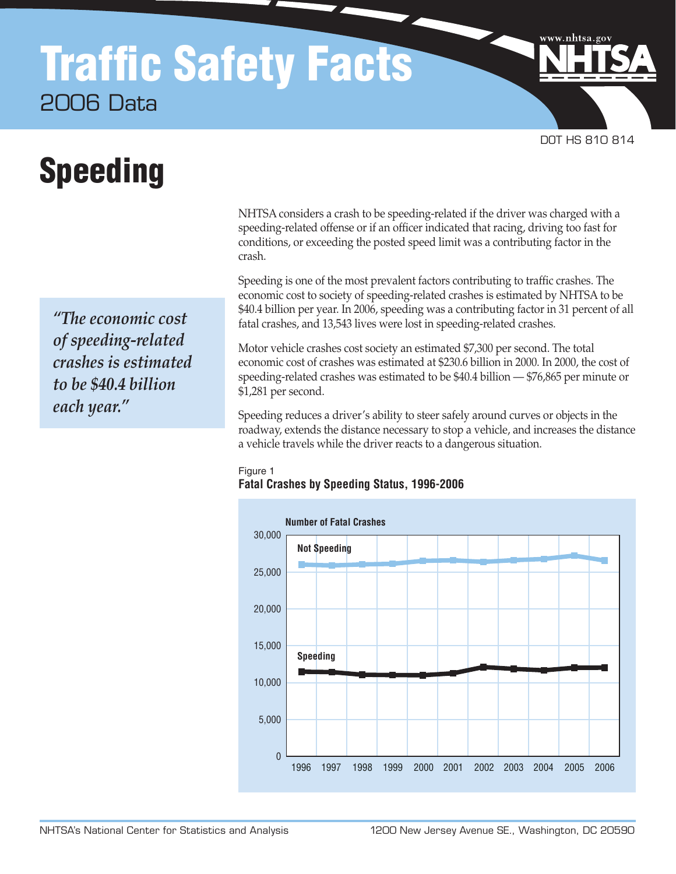## Traffic Safety Facts 2006 Data

# Speeding

*"The economic cost of speeding-related crashes is estimated to be \$40.4 billion each year."*

NHTSA considers a crash to be speeding-related if the driver was charged with a speeding-related offense or if an officer indicated that racing, driving too fast for conditions, or exceeding the posted speed limit was a contributing factor in the crash.

DOT HS 810 814

www.nhtsa.go

Speeding is one of the most prevalent factors contributing to traffic crashes. The economic cost to society of speeding-related crashes is estimated by NHTSA to be \$40.4 billion per year. In 2006, speeding was a contributing factor in 31 percent of all fatal crashes, and 13,543 lives were lost in speeding-related crashes.

Motor vehicle crashes cost society an estimated \$7,300 per second. The total economic cost of crashes was estimated at \$230.6 billion in 2000. In 2000, the cost of speeding-related crashes was estimated to be \$40.4 billion — \$76,865 per minute or \$1,281 per second.

Speeding reduces a driver's ability to steer safely around curves or objects in the roadway, extends the distance necessary to stop a vehicle, and increases the distance a vehicle travels while the driver reacts to a dangerous situation.

#### Figure 1 **Fatal Crashes by Speeding Status, 1996-2006**

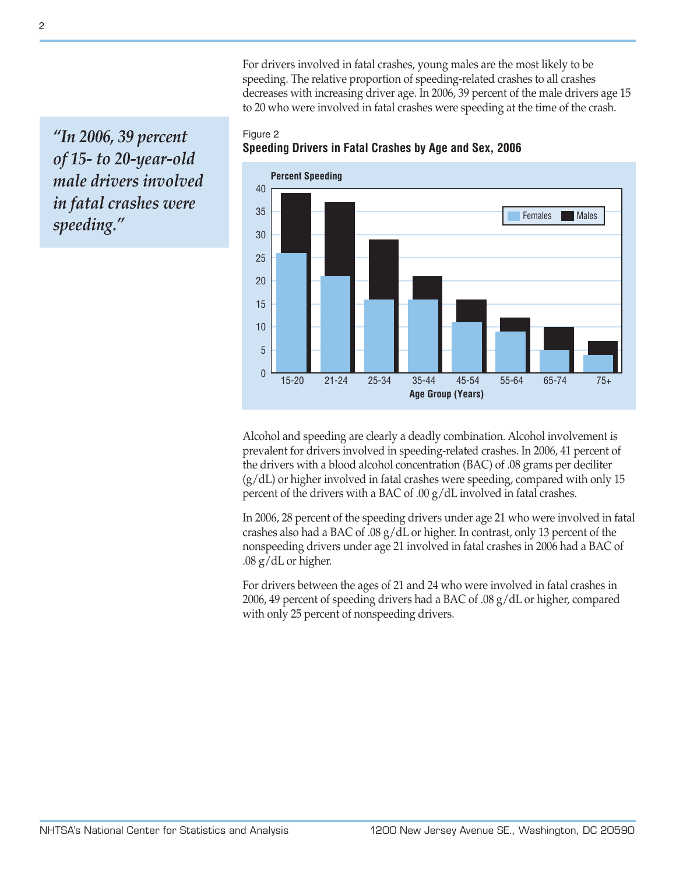For drivers involved in fatal crashes, young males are the most likely to be speeding. The relative proportion of speeding-related crashes to all crashes decreases with increasing driver age. In 2006, 39 percent of the male drivers age 15 to 20 who were involved in fatal crashes were speeding at the time of the crash.

*"In 2006, 39 percent of 15- to 20-year-old male drivers involved in fatal crashes were speeding."*



Figure 2 **Speeding Drivers in Fatal Crashes by Age and Sex, 2006**

Alcohol and speeding are clearly a deadly combination. Alcohol involvement is prevalent for drivers involved in speeding-related crashes. In 2006, 41 percent of the drivers with a blood alcohol concentration (BAC) of .08 grams per deciliter (g/dL) or higher involved in fatal crashes were speeding, compared with only 15 percent of the drivers with a BAC of .00 g/dL involved in fatal crashes.

In 2006, 28 percent of the speeding drivers under age 21 who were involved in fatal crashes also had a BAC of .08 g/dL or higher. In contrast, only 13 percent of the nonspeeding drivers under age 21 involved in fatal crashes in 2006 had a BAC of .08 g/dL or higher.

For drivers between the ages of 21 and 24 who were involved in fatal crashes in 2006, 49 percent of speeding drivers had a BAC of .08 g/dL or higher, compared with only 25 percent of nonspeeding drivers.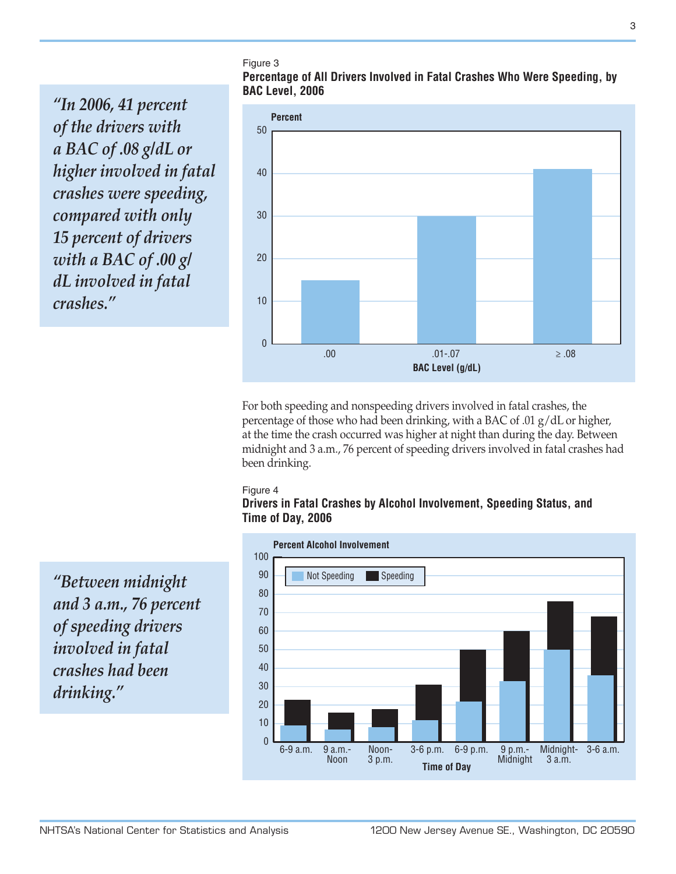Figure 3

**Percentage of All Drivers Involved in Fatal Crashes Who Were Speeding, by BAC Level, 2006**

*"In 2006, 41 percent of the drivers with a BAC of .08 g/dL or higher involved in fatal crashes were speeding, compared with only 15 percent of drivers with a BAC of .00 g/ dL involved in fatal crashes."*



For both speeding and nonspeeding drivers involved in fatal crashes, the percentage of those who had been drinking, with a BAC of .01 g/dL or higher, at the time the crash occurred was higher at night than during the day. Between midnight and 3 a.m., 76 percent of speeding drivers involved in fatal crashes had been drinking.

#### Figure 4

#### **Drivers in Fatal Crashes by Alcohol Involvement, Speeding Status, and Time of Day, 2006**



*"Between midnight and 3 a.m., 76 percent of speeding drivers involved in fatal crashes had been drinking."*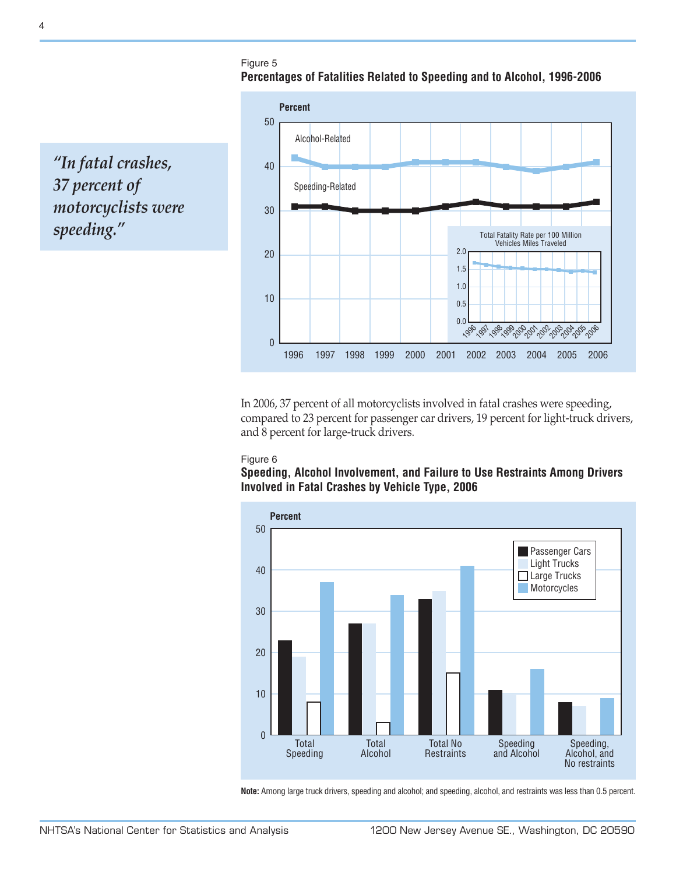Figure 5 **Percentages of Fatalities Related to Speeding and to Alcohol, 1996-2006**

0 10 20 30 40 50 0.0 0.5 1.0 1.5 2.0 *196'99'96'90'00'00'00'00'00'00*' 2006 Total Fatality Rate per 100 Million Vehicles Miles Traveled 1996 1997 1998 1999 2000 2001 2002 2003 2004 2005 2006 **Percent** Alcohol-Related Speeding-Related

*"In fatal crashes, 37 percent of motorcyclists were speeding."*

> In 2006, 37 percent of all motorcyclists involved in fatal crashes were speeding, compared to 23 percent for passenger car drivers, 19 percent for light-truck drivers, and 8 percent for large-truck drivers.

#### Figure 6

**Speeding, Alcohol Involvement, and Failure to Use Restraints Among Drivers Involved in Fatal Crashes by Vehicle Type, 2006**



**Note:** Among large truck drivers, speeding and alcohol; and speeding, alcohol, and restraints was less than 0.5 percent.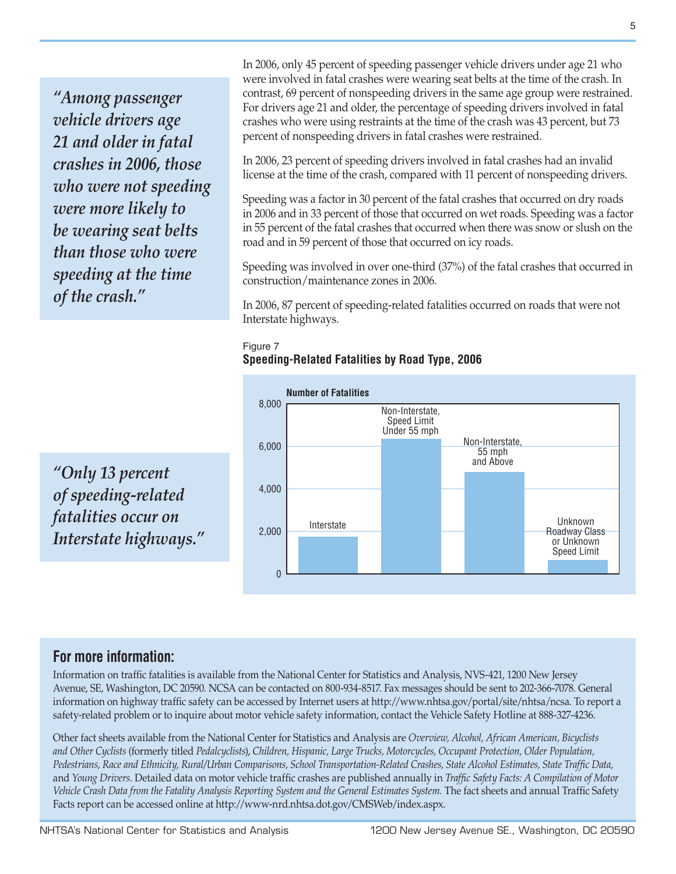*"Among passenger vehicle drivers age 21 and older in fatal crashes in 2006, those who were not speeding were more likely to be wearing seat belts than those who were speeding at the time of the crash."*

In 2006, only 45 percent of speeding passenger vehicle drivers under age 21 who were involved in fatal crashes were wearing seat belts at the time of the crash. In contrast, 69 percent of nonspeeding drivers in the same age group were restrained. For drivers age 21 and older, the percentage of speeding drivers involved in fatal crashes who were using restraints at the time of the crash was 43 percent, but 73 percent of nonspeeding drivers in fatal crashes were restrained.

In 2006, 23 percent of speeding drivers involved in fatal crashes had an invalid license at the time of the crash, compared with 11 percent of nonspeeding drivers.

Speeding was a factor in 30 percent of the fatal crashes that occurred on dry roads in 2006 and in 33 percent of those that occurred on wet roads. Speeding was a factor in 55 percent of the fatal crashes that occurred when there was snow or slush on the road and in 59 percent of those that occurred on icy roads.

Speeding was involved in over one-third (37%) of the fatal crashes that occurred in construction/maintenance zones in 2006.

In 2006, 87 percent of speeding-related fatalities occurred on roads that were not Interstate highways.

#### Figure 7 **Speeding-Related Fatalities by Road Type, 2006**



*"Only 13 percent of speeding-related fatalities occur on Interstate highways."*

### **For more information:**

Information on traffic fatalities is available from the National Center for Statistics and Analysis, NVS-421, 1200 New Jersey Avenue, SE, Washington, DC 20590. NCSA can be contacted on 800-934-8517. Fax messages should be sent to 202-366-7078. General information on highway traffic safety can be accessed by Internet users at [http://www.nhtsa.gov/portal/site/nhtsa/ncsa.](http://www.nhtsa.gov/portal/site/nhtsa/ncsa) To report a safety-related problem or to inquire about motor vehicle safety information, contact the Vehicle Safety Hotline at 888-327-4236.

Other fact sheets available from the National Center for Statistics and Analysis are *Overview, Alcohol, African American, Bicyclists and Other Cyclists* (formerly titled *Pedalcyclists*), *Children, Hispanic, Large Trucks, Motorcycles, Occupant Protection, Older Population, Pedestrians, Race and Ethnicity, Rural/Urban Comparisons, School Transportation-Related Crashes, State Alcohol Estimates, State Traffic Data,*  and *Young Drivers.* Detailed data on motor vehicle traffic crashes are published annually in *Traffic Safety Facts: A Compilation of Motor Vehicle Crash Data from the Fatality Analysis Reporting System and the General Estimates System.* The fact sheets and annual Traffic Safety Facts report can be accessed online at [http://www-nrd.nhtsa.dot.gov/CMSWeb/index.aspx.](http://www-nrd.nhtsa.dot.gov/CMSWeb/index.aspx)